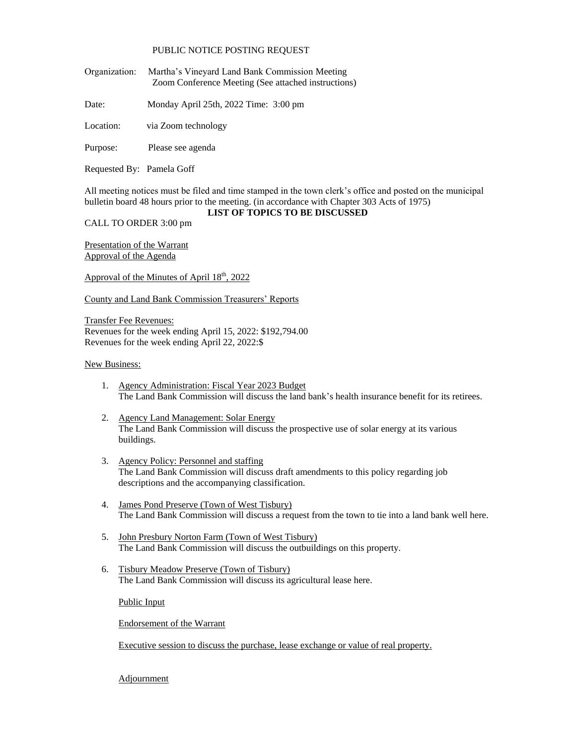## PUBLIC NOTICE POSTING REQUEST

Organization: Martha's Vineyard Land Bank Commission Meeting Zoom Conference Meeting (See attached instructions)

Date: Monday April 25th, 2022 Time: 3:00 pm

Location: via Zoom technology

Purpose: Please see agenda

Requested By: Pamela Goff

All meeting notices must be filed and time stamped in the town clerk's office and posted on the municipal bulletin board 48 hours prior to the meeting. (in accordance with Chapter 303 Acts of 1975)

## **LIST OF TOPICS TO BE DISCUSSED**

CALL TO ORDER 3:00 pm

Presentation of the Warrant Approval of the Agenda

Approval of the Minutes of April 18<sup>th</sup>, 2022

County and Land Bank Commission Treasurers' Reports

Transfer Fee Revenues: Revenues for the week ending April 15, 2022: \$192,794.00 Revenues for the week ending April 22, 2022:\$

## New Business:

- 1. Agency Administration: Fiscal Year 2023 Budget The Land Bank Commission will discuss the land bank's health insurance benefit for its retirees.
- 2. Agency Land Management: Solar Energy The Land Bank Commission will discuss the prospective use of solar energy at its various buildings.
- 3. Agency Policy: Personnel and staffing The Land Bank Commission will discuss draft amendments to this policy regarding job descriptions and the accompanying classification.
- 4. James Pond Preserve (Town of West Tisbury) The Land Bank Commission will discuss a request from the town to tie into a land bank well here.
- 5. John Presbury Norton Farm (Town of West Tisbury) The Land Bank Commission will discuss the outbuildings on this property.
- 6. Tisbury Meadow Preserve (Town of Tisbury) The Land Bank Commission will discuss its agricultural lease here.

Public Input

Endorsement of the Warrant

Executive session to discuss the purchase, lease exchange or value of real property.

**Adjournment**